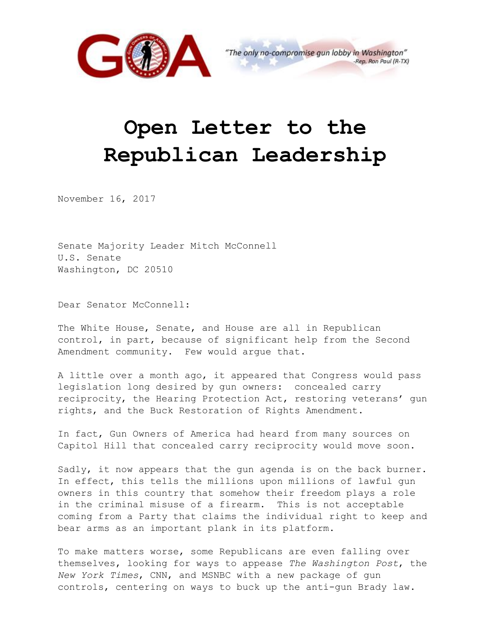

## **Open Letter to the Republican Leadership**

November 16, 2017

Senate Majority Leader Mitch McConnell U.S. Senate Washington, DC 20510

Dear Senator McConnell:

The White House, Senate, and House are all in Republican control, in part, because of significant help from the Second Amendment community. Few would argue that.

A little over a month ago, it appeared that Congress would pass legislation long desired by gun owners: concealed carry reciprocity, the Hearing Protection Act, restoring veterans' gun rights, and the Buck Restoration of Rights Amendment.

In fact, Gun Owners of America had heard from many sources on Capitol Hill that concealed carry reciprocity would move soon.

Sadly, it now appears that the gun agenda is on the back burner. In effect, this tells the millions upon millions of lawful gun owners in this country that somehow their freedom plays a role in the criminal misuse of a firearm. This is not acceptable coming from a Party that claims the individual right to keep and bear arms as an important plank in its platform.

To make matters worse, some Republicans are even falling over themselves, looking for ways to appease *The Washington Post*, the *New York Times*, CNN, and MSNBC with a new package of gun controls, centering on ways to buck up the anti-gun Brady law.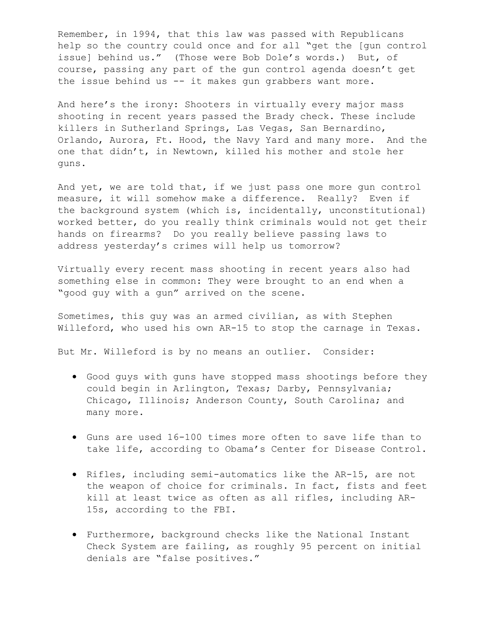Remember, in 1994, that this law was passed with Republicans help so the country could once and for all "get the [gun control issue] behind us." (Those were Bob Dole's words.) But, of course, passing any part of the gun control agenda doesn't get the issue behind us -- it makes gun grabbers want more.

And here's the irony: Shooters in virtually every major mass shooting in recent years passed the Brady check. These include killers in Sutherland Springs, Las Vegas, San Bernardino, Orlando, Aurora, Ft. Hood, the Navy Yard and many more. And the one that didn't, in Newtown, killed his mother and stole her guns.

And yet, we are told that, if we just pass one more gun control measure, it will somehow make a difference. Really? Even if the background system (which is, incidentally, unconstitutional) worked better, do you really think criminals would not get their hands on firearms? Do you really believe passing laws to address yesterday's crimes will help us tomorrow?

Virtually every recent mass shooting in recent years also had something else in common: They were brought to an end when a "good guy with a gun" arrived on the scene.

Sometimes, this guy was an armed civilian, as with Stephen Willeford, who used his own AR-15 to stop the carnage in Texas.

But Mr. Willeford is by no means an outlier. Consider:

- Good guys with guns have stopped mass shootings before they could begin in Arlington, Texas; Darby, Pennsylvania; Chicago, Illinois; Anderson County, South Carolina; and many more.
- Guns are used 16-100 times more often to save life than to take life, according to Obama's Center for Disease Control.
- Rifles, including semi-automatics like the AR-15, are not the weapon of choice for criminals. In fact, fists and feet kill at least twice as often as all rifles, including AR-15s, according to the FBI.
- Furthermore, background checks like the National Instant Check System are failing, as roughly 95 percent on initial denials are "false positives."